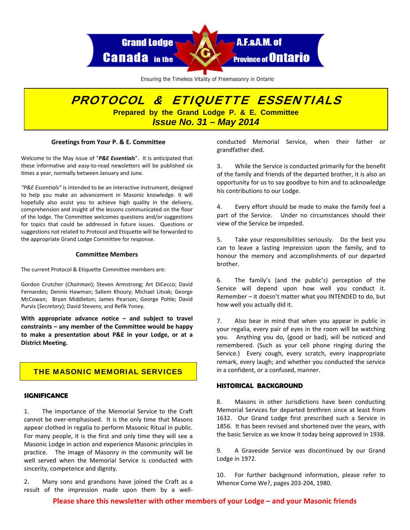

Ensuring the Timeless Vitality of Freemasonry in Ontario

# PROTOCOL & ETIQUETTE ESSENTIALS **Prepared by the Grand Lodge P. & E. Committee**  *Issue No. 31 – May 2014*

#### **Greetings from Your P. & E. Committee**

Welcome to the May issue of "*P&E Essentials*". It is anticipated that these informative and easy-to-read newsletters will be published six times a year, normally between January and June.

*"P&E Essentials"* is intended to be an interactive instrument, designed to help you make an advancement in Masonic knowledge. It will hopefully also assist you to achieve high quality in the delivery, comprehension and insight of the lessons communicated on the floor of the lodge. The Committee welcomes questions and/or suggestions for topics that could be addressed in future issues. Questions or suggestions not related to Protocol and Etiquette will be forwarded to the appropriate Grand Lodge Committee for response.

#### **Committee Members**

The current Protocol & Etiquette Committee members are:

Gordon Crutcher (*Chairman*); Steven Armstrong; Art DiCecco; David Fernandes; Dennis Hawman; Saliem Khoury; Michael Litvak; George McCowan; Bryan Middleton; James Pearson; George Pohle; David Purvis (*Secretary*); David Stevens; and Refik Yoney.

**With appropriate advance notice – and subject to travel constraints – any member of the Committee would be happy to make a presentation about P&E in your Lodge, or at a District Meeting.**

# THE MASONIC MEMORIAL SERVICES

#### **SIGNIFICANCE**

1. The importance of the Memorial Service to the Craft cannot be over‐emphasised. It is the only time that Masons appear clothed in regalia to perform Masonic Ritual in public. For many people, it is the first and only time they will see a Masonic Lodge in action and experience Masonic principles in practice. The image of Masonry in the community will be well served when the Memorial Service is conducted with sincerity, competence and dignity.

2. Many sons and grandsons have joined the Craft as a result of the impression made upon them by a well‐

conducted Memorial Service, when their father or grandfather died.

3. While the Service is conducted primarily for the benefit of the family and friends of the departed brother, it is also an opportunity for us to say goodbye to him and to acknowledge his contributions to our Lodge.

4. Every effort should be made to make the family feel a part of the Service. Under no circumstances should their view of the Service be impeded.

5. Take your responsibilities seriously. Do the best you can to leave a lasting impression upon the family, and to honour the memory and accomplishments of our departed brother.

6. The family's (and the public's) perception of the Service will depend upon how well you conduct it. Remember – it doesn't matter what you INTENDED to do, but how well you actually did it.

7. Also bear in mind that when you appear in public in your regalia, every pair of eyes in the room will be watching you. Anything you do, (good or bad), will be noticed and remembered. (Such as your cell phone ringing during the Service.) Every cough, every scratch, every inappropriate remark, every laugh; and whether you conducted the service in a confident, or a confused, manner.

# **HISTORICAL BACKGROUND**

8. Masons in other Jurisdictions have been conducting Memorial Services for departed brethren since at least from 1632. Our Grand Lodge first prescribed such a Service in 1856. It has been revised and shortened over the years, with the basic Service as we know it today being approved in 1938.

9. A Graveside Service was discontinued by our Grand Lodge in 1972.

10. For further background information, please refer to Whence Come We?, pages 203‐204, 1980.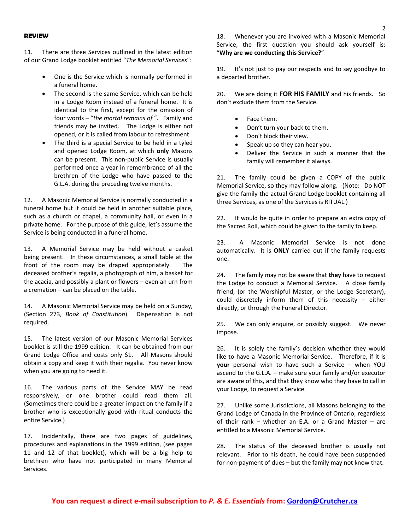#### **REVIEW**

11. There are three Services outlined in the latest edition of our Grand Lodge booklet entitled "*The Memorial Services*":

- One is the Service which is normally performed in a funeral home.
- The second is the same Service, which can be held in a Lodge Room instead of a funeral home. It is identical to the first, except for the omission of four words – "*the mortal remains of* ". Family and friends may be invited. The Lodge is either not opened, or it is called from labour to refreshment.
- The third is a special Service to be held in a tyled and opened Lodge Room, at which **only** Masons can be present. This non‐public Service is usually performed once a year in remembrance of all the brethren of the Lodge who have passed to the G.L.A. during the preceding twelve months.

12. A Masonic Memorial Service is normally conducted in a funeral home but it could be held in another suitable place, such as a church or chapel, a community hall, or even in a private home. For the purpose of this guide, let's assume the Service is being conducted in a funeral home.

13. A Memorial Service may be held without a casket being present. In these circumstances, a small table at the front of the room may be draped appropriately. The deceased brother's regalia, a photograph of him, a basket for the acacia, and possibly a plant or flowers – even an urn from a cremation – can be placed on the table.

14. A Masonic Memorial Service may be held on a Sunday, (Section 273, *Book of Constitution*). Dispensation is not required.

15. The latest version of our Masonic Memorial Services booklet is still the 1999 edition. It can be obtained from our Grand Lodge Office and costs only \$1. All Masons should obtain a copy and keep it with their regalia. You never know when you are going to need it.

16. The various parts of the Service MAY be read responsively, or one brother could read them all. (Sometimes there could be a greater impact on the family if a brother who is exceptionally good with ritual conducts the entire Service.)

17. Incidentally, there are two pages of guidelines, procedures and explanations in the 1999 edition, (see pages 11 and 12 of that booklet), which will be a big help to brethren who have not participated in many Memorial Services.

18. Whenever you are involved with a Masonic Memorial Service, the first question you should ask yourself is: "**Why are we conducting this Service?**"

19. It's not just to pay our respects and to say goodbye to a departed brother.

20. We are doing it **FOR HIS FAMILY** and his friends. So don't exclude them from the Service.

- Face them.
- Don't turn your back to them.
- Don't block their view.
- Speak up so they can hear you.
- Deliver the Service in such a manner that the family will remember it always.

21. The family could be given a COPY of the public Memorial Service, so they may follow along. (Note: Do NOT give the family the actual Grand Lodge booklet containing all three Services, as one of the Services is RITUAL.)

22. It would be quite in order to prepare an extra copy of the Sacred Roll, which could be given to the family to keep.

23. A Masonic Memorial Service is not done automatically. It is **ONLY** carried out if the family requests one.

24. The family may not be aware that **they** have to request the Lodge to conduct a Memorial Service. A close family friend, (or the Worshipful Master, or the Lodge Secretary), could discretely inform them of this necessity – either directly, or through the Funeral Director.

25. We can only enquire, or possibly suggest. We never impose.

26. It is solely the family's decision whether they would like to have a Masonic Memorial Service. Therefore, if it is **your** personal wish to have such a Service – when YOU ascend to the G.L.A. – make sure your family and/or executor are aware of this, and that they know who they have to call in your Lodge, to request a Service.

27. Unlike some Jurisdictions, all Masons belonging to the Grand Lodge of Canada in the Province of Ontario, regardless of their rank – whether an E.A. or a Grand Master – are entitled to a Masonic Memorial Service.

28. The status of the deceased brother is usually not relevant. Prior to his death, he could have been suspended for non‐payment of dues – but the family may not know that.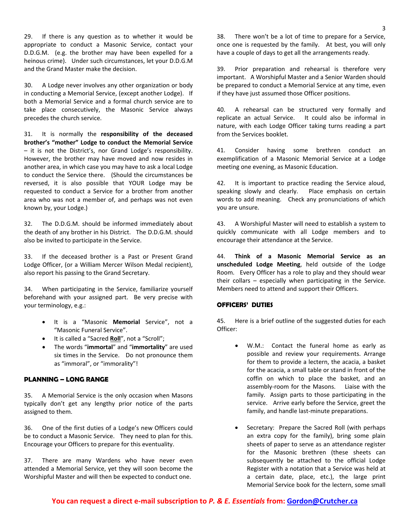29. If there is any question as to whether it would be appropriate to conduct a Masonic Service, contact your D.D.G.M. (e.g. the brother may have been expelled for a heinous crime). Under such circumstances, let your D.D.G.M and the Grand Master make the decision.

30. A Lodge never involves any other organization or body in conducting a Memorial Service, (except another Lodge). If both a Memorial Service and a formal church service are to take place consecutively, the Masonic Service always precedes the church service.

31. It is normally the **responsibility of the deceased brother's "mother" Lodge to conduct the Memorial Service** – it is not the District's, nor Grand Lodge's responsibility. However, the brother may have moved and now resides in another area, in which case you may have to ask a local Lodge to conduct the Service there. (Should the circumstances be reversed, it is also possible that YOUR Lodge may be requested to conduct a Service for a brother from another area who was not a member of, and perhaps was not even known by, your Lodge.)

32. The D.D.G.M. should be informed immediately about the death of any brother in his District. The D.D.G.M. should also be invited to participate in the Service.

33. If the deceased brother is a Past or Present Grand Lodge Officer, (or a William Mercer Wilson Medal recipient), also report his passing to the Grand Secretary.

34. When participating in the Service, familiarize yourself beforehand with your assigned part. Be very precise with your terminology, e.g.:

- It is a "Masonic **Memorial** Service", not a "Masonic Funeral Service".
- It is called a "Sacred **Roll**", not a "Scroll";
- The words "**immortal**" and "**immortality**" are used six times in the Service. Do not pronounce them as "immoral", or "immorality"!

# **PLANNING – LONG RANGE**

35. A Memorial Service is the only occasion when Masons typically don't get any lengthy prior notice of the parts assigned to them.

36. One of the first duties of a Lodge's new Officers could be to conduct a Masonic Service. They need to plan for this. Encourage your Officers to prepare for this eventuality.

37. There are many Wardens who have never even attended a Memorial Service, yet they will soon become the Worshipful Master and will then be expected to conduct one.

38. There won't be a lot of time to prepare for a Service, once one is requested by the family. At best, you will only have a couple of days to get all the arrangements ready.

39. Prior preparation and rehearsal is therefore very important. A Worshipful Master and a Senior Warden should be prepared to conduct a Memorial Service at any time, even if they have just assumed those Officer positions.

40. A rehearsal can be structured very formally and replicate an actual Service. It could also be informal in nature, with each Lodge Officer taking turns reading a part from the Services booklet.

41. Consider having some brethren conduct an exemplification of a Masonic Memorial Service at a Lodge meeting one evening, as Masonic Education.

42. It is important to practice reading the Service aloud, speaking slowly and clearly. Place emphasis on certain words to add meaning. Check any pronunciations of which you are unsure.

43. A Worshipful Master will need to establish a system to quickly communicate with all Lodge members and to encourage their attendance at the Service.

44. **Think of a Masonic Memorial Service as an unscheduled Lodge Meeting**, held outside of the Lodge Room. Every Officer has a role to play and they should wear their collars – especially when participating in the Service. Members need to attend and support their Officers.

# **OFFICERS' DUTIES**

45. Here is a brief outline of the suggested duties for each Officer:

- W.M.: Contact the funeral home as early as possible and review your requirements. Arrange for them to provide a lectern, the acacia, a basket for the acacia, a small table or stand in front of the coffin on which to place the basket, and an assembly‐room for the Masons. Liaise with the family. Assign parts to those participating in the service. Arrive early before the Service, greet the family, and handle last‐minute preparations.
- Secretary: Prepare the Sacred Roll (with perhaps an extra copy for the family), bring some plain sheets of paper to serve as an attendance register for the Masonic brethren (these sheets can subsequently be attached to the official Lodge Register with a notation that a Service was held at a certain date, place, etc.), the large print Memorial Service book for the lectern, some small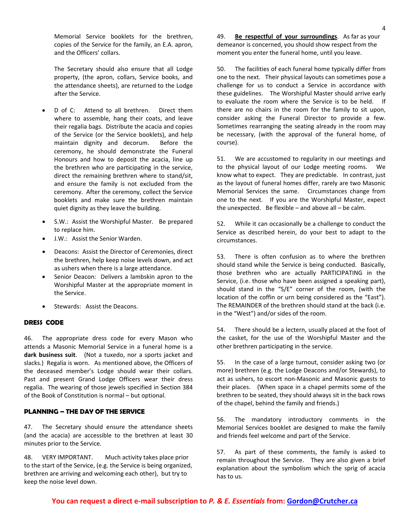Memorial Service booklets for the brethren, copies of the Service for the family, an E.A. apron, and the Officers' collars.

The Secretary should also ensure that all Lodge property, (the apron, collars, Service books, and the attendance sheets), are returned to the Lodge after the Service.

- D of C: Attend to all brethren. Direct them where to assemble, hang their coats, and leave their regalia bags. Distribute the acacia and copies of the Service (or the Service booklets), and help maintain dignity and decorum. Before the ceremony, he should demonstrate the Funeral Honours and how to deposit the acacia, line up the brethren who are participating in the service, direct the remaining brethren where to stand/sit, and ensure the family is not excluded from the ceremony. After the ceremony, collect the Service booklets and make sure the brethren maintain quiet dignity as they leave the building.
- S.W.: Assist the Worshipful Master. Be prepared to replace him.
- J.W.: Assist the Senior Warden.
- Deacons: Assist the Director of Ceremonies, direct the brethren, help keep noise levels down, and act as ushers when there is a large attendance.
- Senior Deacon: Delivers a lambskin apron to the Worshipful Master at the appropriate moment in the Service.
- Stewards: Assist the Deacons.

#### **DRESS CODE**

46. The appropriate dress code for every Mason who attends a Masonic Memorial Service in a funeral home is a **dark business suit**. (Not a tuxedo, nor a sports jacket and slacks.) Regalia is worn. As mentioned above, the Officers of the deceased member's Lodge should wear their collars. Past and present Grand Lodge Officers wear their dress regalia. The wearing of those jewels specified in Section 384 of the Book of Constitution is normal – but optional.

#### **PLANNING – THE DAY OF THE SERVICE**

47. The Secretary should ensure the attendance sheets (and the acacia) are accessible to the brethren at least 30 minutes prior to the Service.

48. VERY IMPORTANT. Much activity takes place prior to the start of the Service, (e.g. the Service is being organized, brethren are arriving and welcoming each other), but try to keep the noise level down.

49. **Be respectful of your surroundings**. As far as your demeanor is concerned, you should show respect from the moment you enter the funeral home, until you leave.

50. The facilities of each funeral home typically differ from one to the next. Their physical layouts can sometimes pose a challenge for us to conduct a Service in accordance with these guidelines. The Worshipful Master should arrive early to evaluate the room where the Service is to be held. If there are no chairs in the room for the family to sit upon, consider asking the Funeral Director to provide a few. Sometimes rearranging the seating already in the room may be necessary, (with the approval of the funeral home, of course).

51. We are accustomed to regularity in our meetings and to the physical layout of our Lodge meeting rooms. We know what to expect. They are predictable. In contrast, just as the layout of funeral homes differ, rarely are two Masonic Memorial Services the same. Circumstances change from one to the next. If you are the Worshipful Master, expect the unexpected. Be flexible  $-$  and above all  $-$  be calm.

52. While it can occasionally be a challenge to conduct the Service as described herein, do your best to adapt to the circumstances.

53. There is often confusion as to where the brethren should stand while the Service is being conducted. Basically, those brethren who are actually PARTICIPATING in the Service, (i.e. those who have been assigned a speaking part), should stand in the "S/E" corner of the room, (with the location of the coffin or urn being considered as the "East"). The REMAINDER of the brethren should stand at the back (i.e. in the "West") and/or sides of the room.

54. There should be a lectern, usually placed at the foot of the casket, for the use of the Worshipful Master and the other brethren participating in the service.

55. In the case of a large turnout, consider asking two (or more) brethren (e.g. the Lodge Deacons and/or Stewards), to act as ushers, to escort non‐Masonic and Masonic guests to their places. (When space in a chapel permits some of the brethren to be seated, they should always sit in the back rows of the chapel, behind the family and friends.)

56. The mandatory introductory comments in the Memorial Services booklet are designed to make the family and friends feel welcome and part of the Service.

57. As part of these comments, the family is asked to remain throughout the Service. They are also given a brief explanation about the symbolism which the sprig of acacia has to us.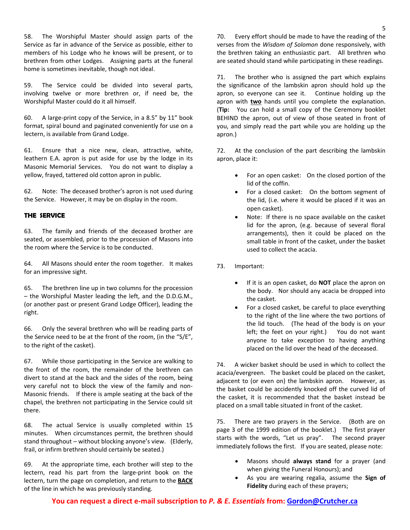58. The Worshipful Master should assign parts of the Service as far in advance of the Service as possible, either to members of his Lodge who he knows will be present, or to brethren from other Lodges. Assigning parts at the funeral home is sometimes inevitable, though not ideal.

59. The Service could be divided into several parts, involving twelve or more brethren or, if need be, the Worshipful Master could do it all himself.

60. A large‐print copy of the Service, in a 8.5" by 11" book format, spiral bound and paginated conveniently for use on a lectern, is available from Grand Lodge.

61. Ensure that a nice new, clean, attractive, white, leathern E.A. apron is put aside for use by the lodge in its Masonic Memorial Services. You do not want to display a yellow, frayed, tattered old cotton apron in public.

62. Note: The deceased brother's apron is not used during the Service. However, it may be on display in the room.

# **THE SERVICE**

63. The family and friends of the deceased brother are seated, or assembled, prior to the procession of Masons into the room where the Service is to be conducted.

64. All Masons should enter the room together. It makes for an impressive sight.

65. The brethren line up in two columns for the procession – the Worshipful Master leading the left, and the D.D.G.M., (or another past or present Grand Lodge Officer), leading the right.

66. Only the several brethren who will be reading parts of the Service need to be at the front of the room, (in the "S/E", to the right of the casket).

67. While those participating in the Service are walking to the front of the room, the remainder of the brethren can divert to stand at the back and the sides of the room, being very careful not to block the view of the family and non‐ Masonic friends. If there is ample seating at the back of the chapel, the brethren not participating in the Service could sit there.

68. The actual Service is usually completed within 15 minutes. When circumstances permit, the brethren should stand throughout – without blocking anyone's view. (Elderly, frail, or infirm brethren should certainly be seated.)

69. At the appropriate time, each brother will step to the lectern, read his part from the large‐print book on the lectern, turn the page on completion, and return to the **BACK** of the line in which he was previously standing.

70. Every effort should be made to have the reading of the verses from the *Wisdom of Solomon* done responsively, with the brethren taking an enthusiastic part. All brethren who are seated should stand while participating in these readings.

71. The brother who is assigned the part which explains the significance of the lambskin apron should hold up the apron, so everyone can see it. Continue holding up the apron with **two** hands until you complete the explanation. (**Tip:** You can hold a small copy of the Ceremony booklet BEHIND the apron, out of view of those seated in front of you, and simply read the part while you are holding up the apron.)

72. At the conclusion of the part describing the lambskin apron, place it:

- For an open casket: On the closed portion of the lid of the coffin.
- For a closed casket: On the bottom segment of the lid, (i.e. where it would be placed if it was an open casket).
- Note: If there is no space available on the casket lid for the apron, (e.g. because of several floral arrangements), then it could be placed on the small table in front of the casket, under the basket used to collect the acacia.
- 73. Important:
	- If it is an open casket, do **NOT** place the apron on the body. Nor should any acacia be dropped into the casket.
	- For a closed casket, be careful to place everything to the right of the line where the two portions of the lid touch. (The head of the body is on your left; the feet on your right.) You do not want anyone to take exception to having anything placed on the lid over the head of the deceased.

74. A wicker basket should be used in which to collect the acacia/evergreen. The basket could be placed on the casket, adjacent to (or even on) the lambskin apron. However, as the basket could be accidently knocked off the curved lid of the casket, it is recommended that the basket instead be placed on a small table situated in front of the casket.

75. There are two prayers in the Service. (Both are on page 3 of the 1999 edition of the booklet.) The first prayer starts with the words, "Let us pray". The second prayer immediately follows the first. If you are seated, please note:

- Masons should **always stand** for a prayer (and when giving the Funeral Honours); and
- As you are wearing regalia, assume the **Sign of Fidelity** during each of these prayers;

**You can request a direct e‐mail subscription to** *P. & E. Essentials* **from: Gordon@Crutcher.ca**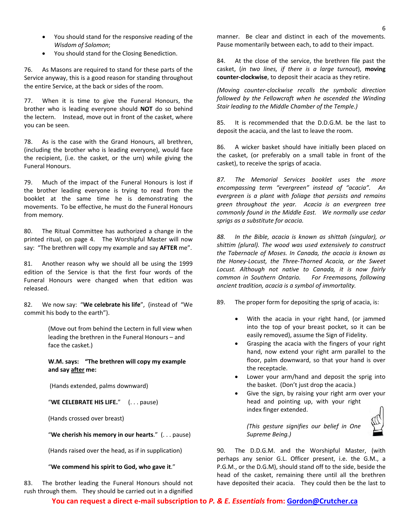- You should stand for the responsive reading of the *Wisdom of Solomon*;
- You should stand for the Closing Benediction.

76. As Masons are required to stand for these parts of the Service anyway, this is a good reason for standing throughout the entire Service, at the back or sides of the room.

77. When it is time to give the Funeral Honours, the brother who is leading everyone should **NOT** do so behind the lectern. Instead, move out in front of the casket, where you can be seen.

78. As is the case with the Grand Honours, all brethren, (including the brother who is leading everyone), would face the recipient, (i.e. the casket, or the urn) while giving the Funeral Honours.

79. Much of the impact of the Funeral Honours is lost if the brother leading everyone is trying to read from the booklet at the same time he is demonstrating the movements. To be effective, he must do the Funeral Honours from memory.

80. The Ritual Committee has authorized a change in the printed ritual, on page 4. The Worshipful Master will now say: "The brethren will copy my example and say **AFTER** me".

81. Another reason why we should all be using the 1999 edition of the Service is that the first four words of the Funeral Honours were changed when that edition was released.

82. We now say: "**We celebrate his life**", (instead of "We commit his body to the earth").

> (Move out from behind the Lectern in full view when leading the brethren in the Funeral Honours – and face the casket.)

**W.M. says: "The brethren will copy my example and say after me:**

(Hands extended, palms downward)

"**WE CELEBRATE HIS LIFE.**" (. . . pause)

(Hands crossed over breast)

"**We cherish his memory in our hearts**." (. . . pause)

(Hands raised over the head, as if in supplication)

"**We commend his spirit to God, who gave it**."

83. The brother leading the Funeral Honours should not rush through them. They should be carried out in a dignified

manner. Be clear and distinct in each of the movements. Pause momentarily between each, to add to their impact.

84. At the close of the service, the brethren file past the casket, (*in two lines, if there is a large turnout*), **moving counter‐clockwise**, to deposit their acacia as they retire.

*(Moving counter‐clockwise recalls the symbolic direction followed by the Fellowcraft when he ascended the Winding Stair leading to the Middle Chamber of the Temple.)*

85. It is recommended that the D.D.G.M. be the last to deposit the acacia, and the last to leave the room.

86. A wicker basket should have initially been placed on the casket, (or preferably on a small table in front of the casket), to receive the sprigs of acacia.

*87. The Memorial Services booklet uses the more encompassing term "evergreen" instead of "acacia". An evergreen is a plant with foliage that persists and remains green throughout the year. Acacia is an evergreen tree commonly found in the Middle East. We normally use cedar sprigs as a substitute for acacia.*

*88. In the Bible, acacia is known as shittah (singular), or shittim (plural). The wood was used extensively to construct the Tabernacle of Moses. In Canada, the acacia is known as the Honey‐Locust, the Three‐Thorned Acacia, or the Sweet Locust. Although not native to Canada, it is now fairly common in Southern Ontario. For Freemasons, following ancient tradition, acacia is a symbol of immortality.*

89. The proper form for depositing the sprig of acacia, is:

- With the acacia in your right hand, (or jammed into the top of your breast pocket, so it can be easily removed), assume the Sign of Fidelity.
- Grasping the acacia with the fingers of your right hand, now extend your right arm parallel to the floor, palm downward, so that your hand is over the receptacle.
- Lower your arm/hand and deposit the sprig into the basket. (Don't just drop the acacia.)
- Give the sign, by raising your right arm over your head and pointing up, with your right index finger extended.



*(This gesture signifies our belief in One Supreme Being.)*

90. The D.D.G.M. and the Worshipful Master, (with perhaps any senior G.L. Officer present, i.e. the G.M., a P.G.M., or the D.G.M), should stand off to the side, beside the head of the casket, remaining there until all the brethren have deposited their acacia. They could then be the last to

**You can request a direct e‐mail subscription to** *P. & E. Essentials* **from: Gordon@Crutcher.ca**